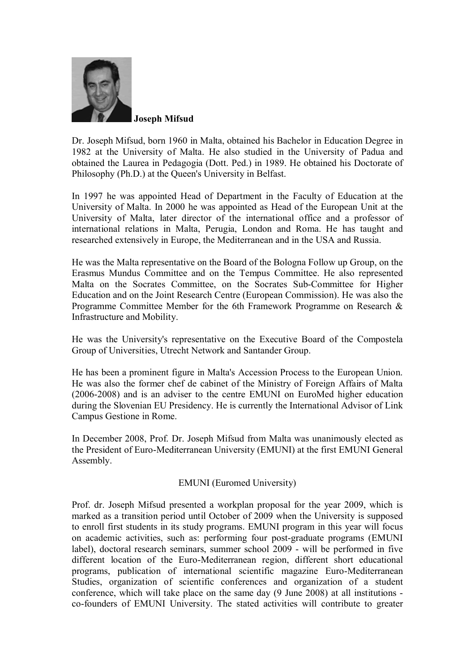

 **Joseph Mifsud**

Dr. Joseph Mifsud, born 1960 in Malta, obtained his Bachelor in Education Degree in 1982 at the University of Malta. He also studied in the University of Padua and obtained the Laurea in Pedagogia (Dott. Ped.) in 1989. He obtained his Doctorate of Philosophy (Ph.D.) at the Queen's University in Belfast.

In 1997 he was appointed Head of Department in the Faculty of Education at the University of Malta. In 2000 he was appointed as Head of the European Unit at the University of Malta, later director of the international office and a professor of international relations in Malta, Perugia, London and Roma. He has taught and researched extensively in Europe, the Mediterranean and in the USA and Russia.

He was the Malta representative on the Board of the Bologna Follow up Group, on the Erasmus Mundus Committee and on the Tempus Committee. He also represented Malta on the Socrates Committee, on the Socrates Sub-Committee for Higher Education and on the Joint Research Centre (European Commission). He was also the Programme Committee Member for the 6th Framework Programme on Research & Infrastructure and Mobility.

He was the University's representative on the Executive Board of the Compostela Group of Universities, Utrecht Network and Santander Group.

He has been a prominent figure in Malta's Accession Process to the European Union. He was also the former chef de cabinet of the Ministry of Foreign Affairs of Malta (2006-2008) and is an adviser to the centre EMUNI on EuroMed higher education during the Slovenian EU Presidency. He is currently the International Advisor of Link Campus Gestione in Rome.

In December 2008, Prof. Dr. Joseph Mifsud from Malta was unanimously elected as the President of Euro-Mediterranean University (EMUNI) at the first EMUNI General Assembly.

EMUNI (Euromed University)

Prof. dr. Joseph Mifsud presented a workplan proposal for the year 2009, which is marked as a transition period until October of 2009 when the University is supposed to enroll first students in its study programs. EMUNI program in this year will focus on academic activities, such as: performing four post-graduate programs (EMUNI label), doctoral research seminars, summer school 2009 - will be performed in five different location of the Euro-Mediterranean region, different short educational programs, publication of international scientific magazine Euro-Mediterranean Studies, organization of scientific conferences and organization of a student conference, which will take place on the same day (9 June 2008) at all institutions co-founders of EMUNI University. The stated activities will contribute to greater